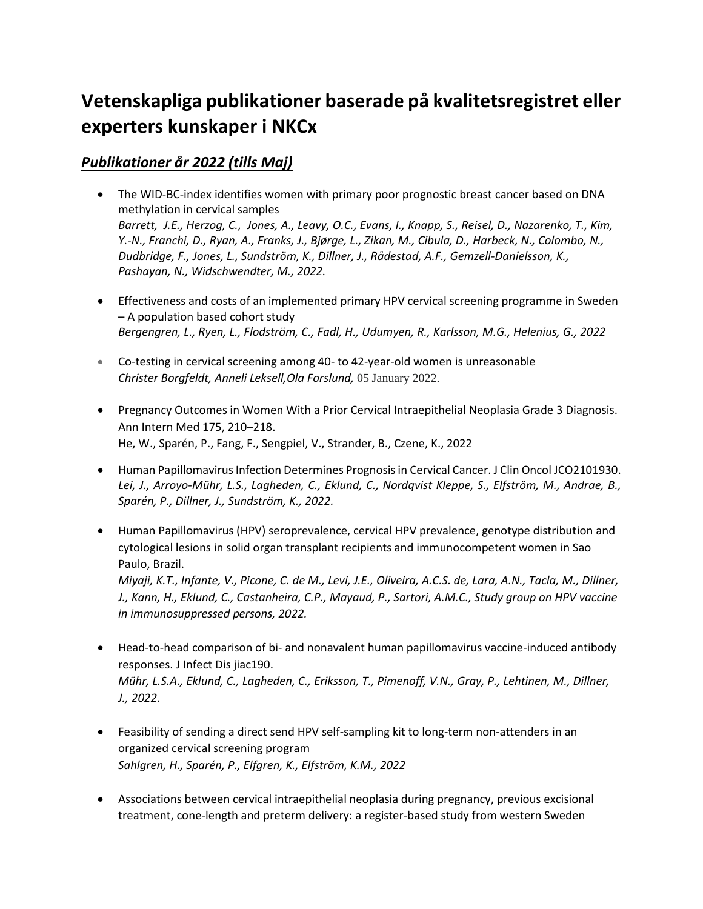# **Vetenskapliga publikationer baserade på kvalitetsregistret eller experters kunskaper i NKCx**

## *Publikationer år 2022 (tills Maj)*

- [The WID-BC-index identifies women with primary poor prognostic breast](https://doi.org/10.1038/s41467-021-27918-w) cancer based on DNA [methylation in cervical samples](https://doi.org/10.1038/s41467-021-27918-w)  *Barrett, J.E., Herzog, C., Jones, A., Leavy, O.C., Evans, I., Knapp, S., Reisel, D., Nazarenko, T., Kim, Y.-N., Franchi, D., Ryan, A., Franks, J., Bjørge, L., Zikan, M., Cibula, D., Harbeck, N., Colombo, N., Dudbridge, F., Jones, L., Sundström, K., Dillner, J., Rådestad, A.F., Gemzell-Danielsson, K., Pashayan, N., Widschwendter, M., 2022.*
- [Effectiveness and costs of an implemented primary HPV cervical screening programme in Sweden](https://doi.org/10.1016/j.pmedr.2021.101675)  – [A population based cohort study](https://doi.org/10.1016/j.pmedr.2021.101675)  *Bergengren, L., Ryen, L., Flodström, C., Fadl, H., Udumyen, R., Karlsson, M.G., Helenius, G., 2022*
- [Co-testing in cervical screening among 40-](https://doi.org/10.1111/aogs.14311) to 42-year-old women is unreasonable *[Christer Borgfeldt,](https://obgyn.onlinelibrary.wiley.com/action/doSearch?ContribAuthorRaw=Borgfeldt%2C+Christer) [Anneli Leksell](https://obgyn.onlinelibrary.wiley.com/action/doSearch?ContribAuthorRaw=Leksell%2C+Anneli)[,Ola Forslund,](https://obgyn.onlinelibrary.wiley.com/action/doSearch?ContribAuthorRaw=Forslund%2C+Ola)* 05 January 2022.
- [Pregnancy Outcomes in Women With a Prior Cervical Intraepithelial Neoplasia Grade 3 Diagnosis.](https://doi.org/10.7326/M21-2793)  [Ann Intern Med 175, 210](https://doi.org/10.7326/M21-2793)–218. He, W., Sparén, P., Fang, F., Sengpiel, V., Strander, B., Czene, K., 2022
- [Human Papillomavirus Infection Determines Prognosis in Cervical Cancer. J Clin Oncol JCO2101930.](https://doi.org/10.1200/JCO.21.01930) *Lei, J., Arroyo-Mühr, L.S., Lagheden, C., Eklund, C., Nordqvist Kleppe, S., Elfström, M., Andrae, B., Sparén, P., Dillner, J., Sundström, K., 2022.*
- [Human Papillomavirus \(HPV\) seroprevalence, cervical HPV prevalence, genotype distribution and](https://doi.org/10.1371/journal.pone.0262724)  [cytological lesions in solid organ transplant recipients and immunocompetent women in Sao](https://doi.org/10.1371/journal.pone.0262724)  [Paulo, Brazil.](https://doi.org/10.1371/journal.pone.0262724)  *Miyaji, K.T., Infante, V., Picone, C. de M., Levi, J.E., Oliveira, A.C.S. de, Lara, A.N., Tacla, M., Dillner, J., Kann, H., Eklund, C., Castanheira, C.P., Mayaud, P., Sartori, A.M.C., Study group on HPV vaccine in immunosuppressed persons, 2022.*
- Head-to-head comparison of bi- [and nonavalent human papillomavirus vaccine-induced antibody](https://doi.org/10.1093/infdis/jiac190)  [responses. J Infect Dis jiac190.](https://doi.org/10.1093/infdis/jiac190) *Mühr, L.S.A., Eklund, C., Lagheden, C., Eriksson, T., Pimenoff, V.N., Gray, P., Lehtinen, M., Dillner, J., 2022.*
- [Feasibility of sending a direct send HPV self-sampling kit to long-term non-attenders in an](https://doi.org/10.1016/j.ejogrb.2021.11.430)  [organized cervical screening program](https://doi.org/10.1016/j.ejogrb.2021.11.430) *Sahlgren, H., Sparén, P., Elfgren, K., Elfström, K.M., 2022*
- [Associations between cervical intraepithelial neoplasia during pregnancy, previous excisional](https://doi.org/10.1186/s12916-022-02276-6)  [treatment, cone-length and preterm delivery: a register-based study from western Sweden](https://doi.org/10.1186/s12916-022-02276-6)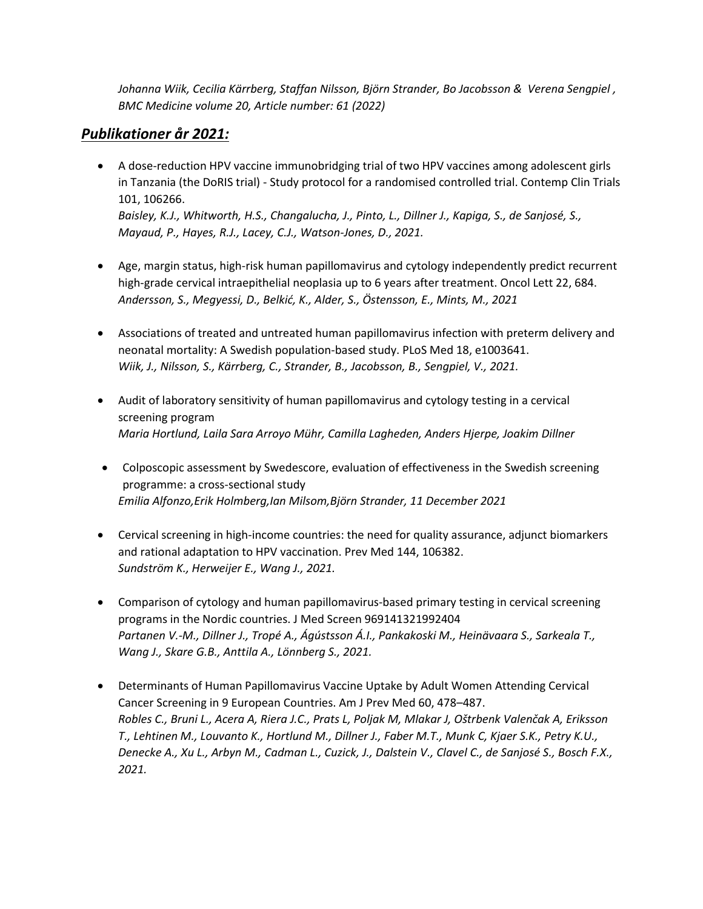*[Johanna Wiik,](https://bmcmedicine.biomedcentral.com/articles/10.1186/s12916-022-02276-6#auth-Johanna-Wiik) [Cecilia Kärrberg,](https://bmcmedicine.biomedcentral.com/articles/10.1186/s12916-022-02276-6#auth-Cecilia-K_rrberg) Staffan [Nilsson,](https://bmcmedicine.biomedcentral.com/articles/10.1186/s12916-022-02276-6#auth-Staffan-Nilsson) [Björn Strander,](https://bmcmedicine.biomedcentral.com/articles/10.1186/s12916-022-02276-6#auth-Bj_rn-Strander) Bo [Jacobsson](https://bmcmedicine.biomedcentral.com/articles/10.1186/s12916-022-02276-6#auth-Bo-Jacobsson) & [Verena Sengpiel](https://bmcmedicine.biomedcentral.com/articles/10.1186/s12916-022-02276-6#auth-Verena-Sengpiel) , [BMC Medicine](https://bmcmedicine.biomedcentral.com/) volume 20, Article number: 61 (2022)*

## *Publikationer år 2021:*

- [A dose-reduction HPV vaccine immunobridging trial of two HPV vaccines among adolescent girls](https://doi.org/10.1016/j.cct.2021.106266)  in Tanzania (the DoRIS trial) - [Study protocol for a randomised controlled trial. Contemp Clin Trials](https://doi.org/10.1016/j.cct.2021.106266)  [101, 106266.](https://doi.org/10.1016/j.cct.2021.106266) *Baisley, K.J., Whitworth, H.S., Changalucha, J., Pinto, L., Dillner J., Kapiga, S., de Sanjosé, S., Mayaud, P., Hayes, R.J., Lacey, C.J., Watson-Jones, D., 2021.*
- [Age, margin status, high-risk human papillomavirus and cytology independently predict recurrent](https://doi.org/10.3892/ol.2021.12945)  [high-grade cervical intraepithelial neoplasia up to 6 years after treatment. Oncol Lett 22, 684.](https://doi.org/10.3892/ol.2021.12945)  *Andersson, S., Megyessi, D., Belkić, K., Alder, S., Östensson, E., Mints, M., 2021*
- [Associations of treated and untreated human papillomavirus infection with preterm delivery and](https://doi.org/10.1371/journal.pmed.1003641)  [neonatal mortality: A Swedish population-based study. PLoS Med 18, e1003641.](https://doi.org/10.1371/journal.pmed.1003641) *Wiik, J., Nilsson, S., Kärrberg, C., Strander, B., Jacobsson, B., Sengpiel, V., 2021.*
- [Audit of laboratory sensitivity of human papillomavirus and cytology testing in a cervical](https://doi.org/10.1002/ijc.33769)  [screening program](https://doi.org/10.1002/ijc.33769) *[Maria Hortlund,](https://onlinelibrary.wiley.com/action/doSearch?ContribAuthorStored=Hortlund%2C+Maria) [Laila Sara Arroyo Mühr,](https://onlinelibrary.wiley.com/action/doSearch?ContribAuthorStored=M%C3%BChr%2C+Laila+Sara+Arroyo) [Camilla Lagheden,](https://onlinelibrary.wiley.com/action/doSearch?ContribAuthorStored=Lagheden%2C+Camilla) [Anders Hjerpe,](https://onlinelibrary.wiley.com/action/doSearch?ContribAuthorStored=Hjerpe%2C+Anders) [Joakim Dillner](https://onlinelibrary.wiley.com/action/doSearch?ContribAuthorStored=Dillner%2C+Joakim)*
- [Colposcopic assessment by Swedescore, evaluation of effectiveness in the Swedish screening](https://doi.org/10.1111/1471-0528.17054)  [programme: a cross-sectional study](https://doi.org/10.1111/1471-0528.17054) *[Emilia Alfonzo,](https://obgyn.onlinelibrary.wiley.com/action/doSearch?ContribAuthorRaw=Alfonzo%2C+Emilia)[Erik Holmberg,](https://obgyn.onlinelibrary.wiley.com/action/doSearch?ContribAuthorRaw=Holmberg%2C+Erik)[Ian Milsom](https://obgyn.onlinelibrary.wiley.com/action/doSearch?ContribAuthorRaw=Milsom%2C+Ian)[,Björn Strander,](https://obgyn.onlinelibrary.wiley.com/action/doSearch?ContribAuthorRaw=Strander%2C+Bj%C3%B6rn) 11 December 2021*
- [Cervical screening in high-income countries: the need for quality assurance, adjunct biomarkers](https://doi.org/10.1016/j.ypmed.2020.106382)  [and rational adaptation to HPV vaccination. Prev Med 144, 106382.](https://doi.org/10.1016/j.ypmed.2020.106382) *Sundström K., Herweijer E., Wang J., 2021.*
- Comparison of cytology [and human papillomavirus-based primary testing in cervical screening](https://doi.org/10.1177/0969141321992404)  [programs in the Nordic countries. J Med Screen 969141321992404](https://doi.org/10.1177/0969141321992404) *Partanen V.-M., Dillner J., Tropé A., Ágústsson Á.I., Pankakoski M., Heinävaara S., Sarkeala T., Wang J., Skare G.B., Anttila A., Lönnberg S., 2021.*
- [Determinants of Human Papillomavirus Vaccine Uptake by Adult Women Attending Cervical](https://doi.org/10.1016/j.amepre.2020.08.032)  [Cancer Screening in 9 European Countries. Am J Prev Med 60, 478](https://doi.org/10.1016/j.amepre.2020.08.032)–487. *Robles C., Bruni L., Acera A, Riera J.C., Prats L, Poljak M, Mlakar J, Oštrbenk Valenčak A, Eriksson T., Lehtinen M., Louvanto K., Hortlund M., Dillner J., Faber M.T., Munk C, Kjaer S.K., Petry K.U., Denecke A., Xu L., Arbyn M., Cadman L., Cuzick, J., Dalstein V., Clavel C., de Sanjosé S., Bosch F.X., 2021.*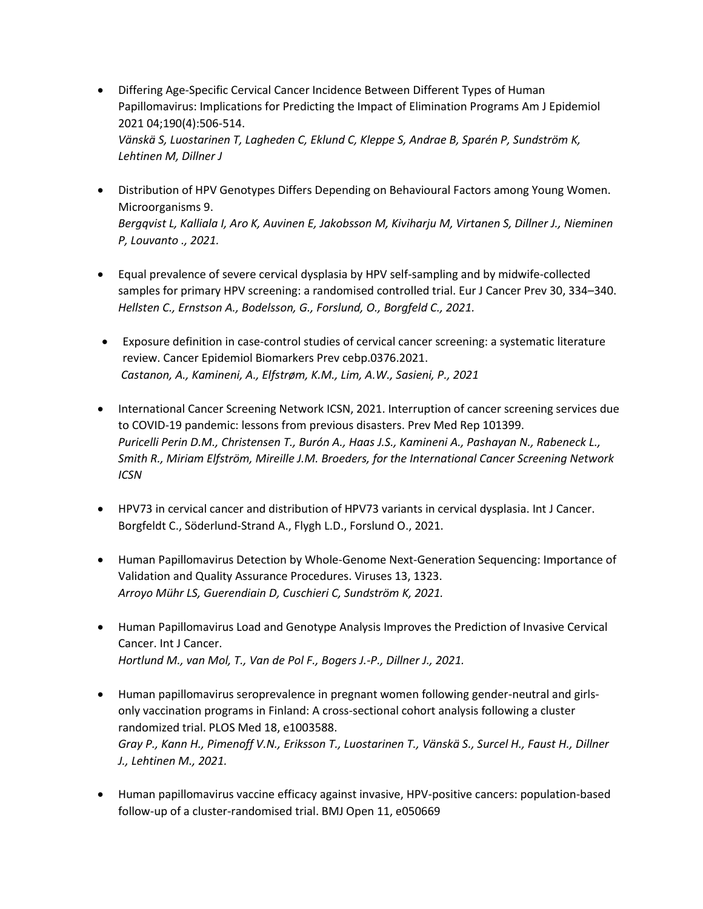- [Differing Age-Specific Cervical Cancer Incidence Between Different Types of Human](https://doi.org/10.1093/aje/kwaa121)  [Papillomavirus: Implications for Predicting the Impact of Elimination Programs Am J Epidemiol](https://doi.org/10.1093/aje/kwaa121)  [2021 04;190\(4\):506-514.](https://doi.org/10.1093/aje/kwaa121) *Vänskä S, Luostarinen T, Lagheden C, Eklund C, Kleppe S, Andrae B, Sparén P, Sundström K, Lehtinen M, Dillner J*
- [Distribution of HPV Genotypes Differs Depending on Behavioural Factors among Young Women.](https://doi.org/10.3390/microorganisms9040750)  [Microorganisms 9.](https://doi.org/10.3390/microorganisms9040750)  *Bergqvist L, Kalliala I, Aro K, Auvinen E, Jakobsson M, Kiviharju M, Virtanen S, Dillner J., Nieminen P, Louvanto ., 2021.*
- [Equal prevalence of severe cervical dysplasia by HPV self-sampling and by midwife-collected](https://doi.org/10.1097/CEJ.0000000000000693)  [samples for primary HPV screening: a randomised controlled trial. Eur J Cancer Prev 30, 334](https://doi.org/10.1097/CEJ.0000000000000693)–340. *Hellsten C., Ernstson A., Bodelsson, G., Forslund, O., Borgfeld C., 2021.*
- [Exposure definition in case-control studies of cervical cancer screening: a systematic literature](https://doi.org/10.1158/1055-9965.EPI-21-0376)  [review. Cancer Epidemiol Biomarkers Prev cebp.0376.2021.](https://doi.org/10.1158/1055-9965.EPI-21-0376) *Castanon, A., Kamineni, A., Elfstrøm, K.M., Lim, A.W., Sasieni, P., 2021*
- [International Cancer Screening Network ICSN, 2021. Interruption of cancer screening services due](https://doi.org/10.1016/j.pmedr.2021.101399)  [to COVID-19 pandemic: lessons from previous disasters. Prev Med Rep 101399.](https://doi.org/10.1016/j.pmedr.2021.101399) *Puricelli Perin D.M., Christensen T., Burón A., Haas J.S., Kamineni A., Pashayan N., Rabeneck L., Smith R., [Miriam Elfström,](https://www.sciencedirect.com/science/article/pii/S2211335521000899?via%3Dihub#!) [Mireille J.M. Broeders,](https://www.sciencedirect.com/science/article/pii/S2211335521000899?via%3Dihub#!) [for the International Cancer Screening Network](https://www.sciencedirect.com/science/article/pii/S2211335521000899?via%3Dihub#!)  [ICSN](https://www.sciencedirect.com/science/article/pii/S2211335521000899?via%3Dihub#!)*
- [HPV73 in cervical cancer and distribution of HPV73 variants in cervical dysplasia. Int J Cancer.](https://doi.org/10.1002/ijc.33590) Borgfeldt C., Söderlund-Strand A., Flygh L.D., Forslund O., 2021.
- [Human Papillomavirus Detection by Whole-Genome Next-Generation Sequencing: Importance of](https://doi.org/10.3390/v13071323)  [Validation and Quality Assurance Procedures. Viruses 13, 1323.](https://doi.org/10.3390/v13071323)  *Arroyo Mühr LS, Guerendiain D, Cuschieri C, Sundström K, 2021.*
- [Human Papillomavirus Load and Genotype Analysis Improves the Prediction of Invasive Cervical](https://doi.org/10.1002/ijc.33519)  [Cancer. Int J Cancer.](https://doi.org/10.1002/ijc.33519) *Hortlund M., van Mol, T., Van de Pol F., Bogers J.-P., Dillner J., 2021.*
- [Human papillomavirus seroprevalence in pregnant women following gender-neutral and girls](https://doi.org/10.1371/journal.pmed.1003588)[only vaccination programs in Finland: A cross-sectional cohort analysis following a cluster](https://doi.org/10.1371/journal.pmed.1003588)  [randomized trial. PLOS Med 18, e1003588.](https://doi.org/10.1371/journal.pmed.1003588) *Gray P., Kann H., Pimenoff V.N., Eriksson T., Luostarinen T., Vänskä S., Surcel H., Faust H., Dillner J., Lehtinen M., 2021.*
- [Human papillomavirus vaccine efficacy against invasive, HPV-positive cancers: population-based](https://doi.org/10.1136/bmjopen-2021-050669)  [follow-up of a cluster-randomised trial.](https://doi.org/10.1136/bmjopen-2021-050669) BMJ Open 11, e050669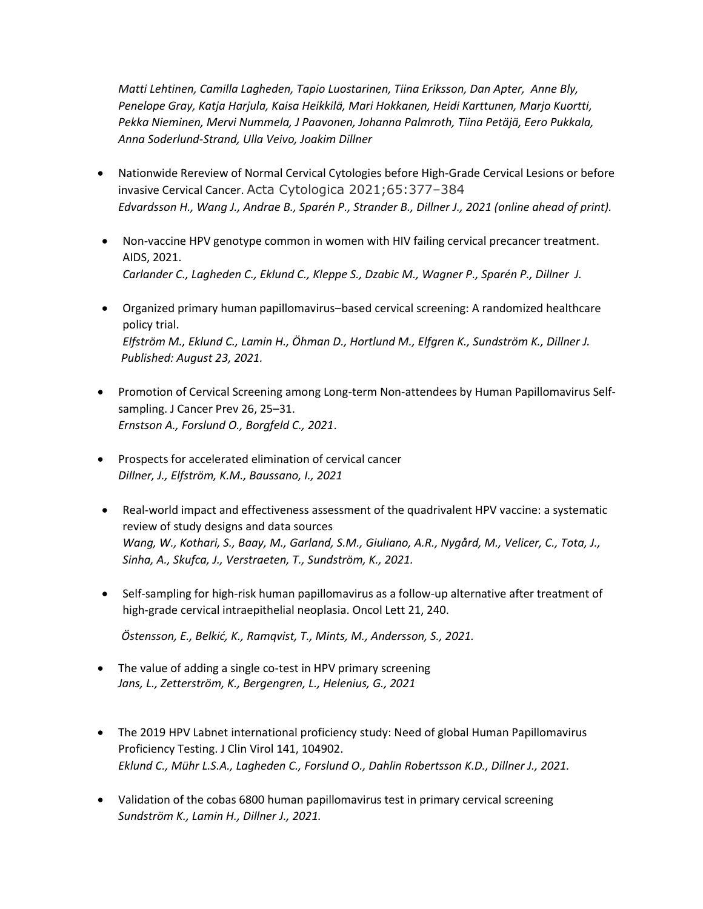*Matti Lehtinen, Camilla Lagheden, Tapio Luostarinen, Tiina Eriksson, Dan Apter, Anne Bly, Penelope Gray, Katja Harjula, Kaisa Heikkilä, Mari Hokkanen, Heidi Karttunen, Marjo Kuortt[i,](https://bmjopen.bmj.com/content/11/12/e050669#aff-6) Pekka Nieminen, Mervi Nummela, J Paavonen, Johanna Palmroth, Tiina Petäjä, Eero Pukkala, Anna Soderlund-Strand, Ulla Veivo, Joakim Dillner*

- [Nationwide Rereview of Normal Cervical Cytologies before High-Grade Cervical Lesions or before](https://doi.org/10.1159/000515912)  [invasive Cervical Cancer.](https://doi.org/10.1159/000515912) Acta Cytologica 2021;65:377–384 *Edvardsson H., Wang J., Andrae B., Sparén P., Strander B., Dillner J., 2021 (online ahead of print).*
- [Non-vaccine HPV genotype common in women with HIV failing cervical precancer treatment.](https://journals.lww.com/aidsonline/Abstract/9000/Non_vaccine_HPV_genotype_common_in_women_with_HIV.96343.aspx) AIDS, 2021. *Carlander C., Lagheden C., Eklund C., Kleppe S., Dzabic M., Wagner P., Sparén P., Dillner J.*
- Organized primary human papillomavirus–[based cervical screening: A randomized healthcare](https://doi.org/10.1371/journal.pmed.1003748)  [policy trial.](https://doi.org/10.1371/journal.pmed.1003748)  *Elfström M., Eklund C., Lamin H., Öhman D., Hortlund M., Elfgren K., Sundström K., Dillner J. Published: August 23, 2021.*
- [Promotion of Cervical Screening among Long-term Non-attendees by Human Papillomavirus Self](https://doi.org/10.15430/JCP.2021.26.1.25)[sampling. J Cancer Prev 26, 25](https://doi.org/10.15430/JCP.2021.26.1.25)–31. *Ernstson A., Forslund O., Borgfeld C., 2021*.
- [Prospects for accelerated elimination of cervical cancer](https://doi.org/10.1016/j.ypmed.2021.106827) *Dillner, J., Elfström, K.M., Baussano, I., 2021*
- [Real-world impact and effectiveness assessment of the quadrivalent HPV vaccine: a systematic](https://doi.org/10.1080/14760584.2022.2008243)  [review of study designs and data sources](https://doi.org/10.1080/14760584.2022.2008243) *Wang, W., Kothari, S., Baay, M., Garland, S.M., Giuliano, A.R., Nygård, M., Velicer, C., Tota, J., Sinha, A., Skufca, J., Verstraeten, T., Sundström, K., 2021.*
- [Self-sampling for high-risk human papillomavirus as a follow-up alternative after treatment of](https://doi.org/10.3892/ol.2021.12501)  [high-grade cervical intraepithelial neoplasia. Oncol Lett 21, 240.](https://doi.org/10.3892/ol.2021.12501)

*Östensson, E., Belkić, K., Ramqvist, T., Mints, M., Andersson, S., 2021.*

- The value of adding a single co-test in HPV primary screening *Jans, L., Zetterström, K., Bergengren, L., Helenius, G., 2021*
- [The 2019 HPV Labnet international proficiency study: Need of global Human Papillomavirus](https://doi.org/10.1016/j.jcv.2021.104902)  [Proficiency Testing. J Clin Virol 141, 104902.](https://doi.org/10.1016/j.jcv.2021.104902) *Eklund C., Mühr L.S.A., Lagheden C., Forslund O., Dahlin Robertsson K.D., Dillner J., 2021.*
- [Validation of the cobas 6800 human papillomavirus test in primary cervical screening](https://doi.org/10.1371/journal.pone.0247291) *Sundström K., Lamin H., Dillner J., 2021.*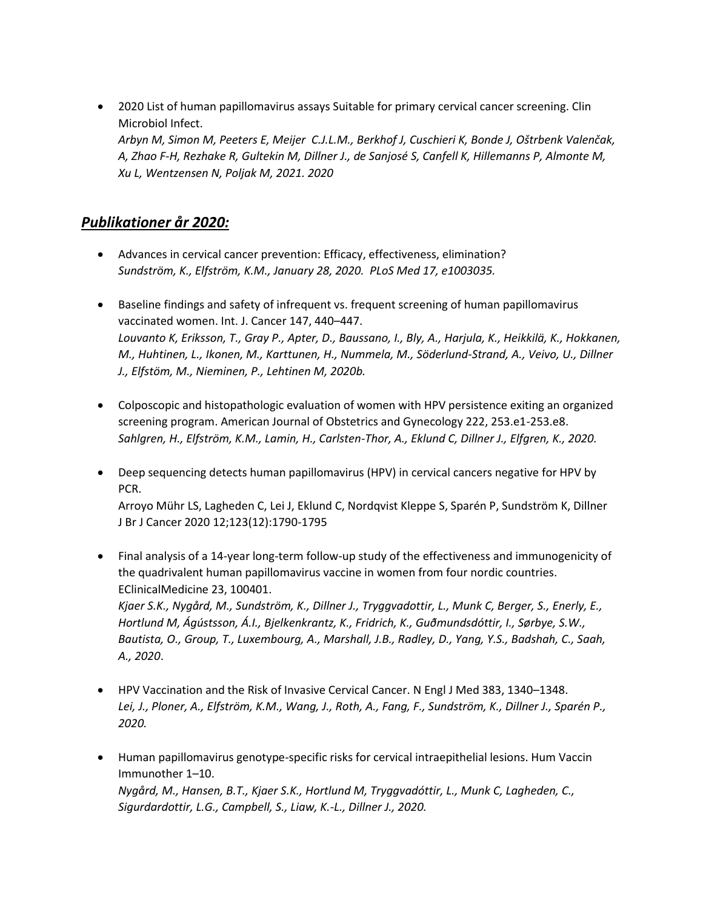2020 [List of human papillomavirus assays Suitable for primary cervical cancer screening. Clin](https://doi.org/10.1016/j.cmi.2021.04.031)  [Microbiol Infect.](https://doi.org/10.1016/j.cmi.2021.04.031)  *Arbyn M, Simon M, Peeters E, Meijer C.J.L.M., Berkhof J, Cuschieri K, Bonde J, Oštrbenk Valenčak, A, Zhao F-H, Rezhake R, Gultekin M, Dillner J., de Sanjosé S, Canfell K, Hillemanns P, Almonte M, Xu L, Wentzensen N, Poljak M, 2021. 2020*

#### *Publikationer år 2020:*

- [Advances in cervical cancer prevention: Efficacy, effectiveness, elimination?](https://doi.org/10.1371/journal.pmed.1003035)  *Sundström, K., Elfström, K.M., January 28, 2020. PLoS Med 17, e1003035.*
- [Baseline findings and safety of infrequent vs. frequent screening of human papillomavirus](https://doi.org/10.1002/ijc.32802)  [vaccinated women. Int. J. Cancer 147, 440](https://doi.org/10.1002/ijc.32802)–447. *Louvanto K, Eriksson, T., Gray P., Apter, D., Baussano, I., Bly, A., Harjula, K., Heikkilä, K., Hokkanen, M., Huhtinen, L., Ikonen, M., Karttunen, H., Nummela, M., Söderlund-Strand, A., Veivo, U., Dillner J., Elfstöm, M., Nieminen, P., Lehtinen M, 2020b.*
- [Colposcopic and histopathologic evaluation of women with HPV persistence exiting an organized](https://doi.org/10.1016/j.ajog.2019.09.039)  [screening program. American Journal of Obstetrics and Gynecology 222, 253.e1-253.e8.](https://doi.org/10.1016/j.ajog.2019.09.039) *Sahlgren, H., Elfström, K.M., Lamin, H., Carlsten-Thor, A., Eklund C, Dillner J., Elfgren, K., 2020.*
- [Deep sequencing detects human papillomavirus \(HPV\) in cervical cancers negative for HPV by](https://pubmed.ncbi.nlm.nih.gov/33020595)  [PCR.](https://pubmed.ncbi.nlm.nih.gov/33020595) Arroyo Mühr LS, Lagheden C, Lei J, Eklund C, Nordqvist Kleppe S, Sparén P, Sundström K, Dillner J Br J Cancer 2020 12;123(12):1790-1795
- [Final analysis of a 14-year long-term follow-up study of the effectiveness and immunogenicity of](https://doi.org/10.1016/j.eclinm.2020.100401)  [the quadrivalent human papillomavirus vaccine in women from four nordic countries.](https://doi.org/10.1016/j.eclinm.2020.100401)  [EClinicalMedicine 23, 100401.](https://doi.org/10.1016/j.eclinm.2020.100401) *Kjaer S.K., Nygård, M., Sundström, K., Dillner J., Tryggvadottir, L., Munk C, Berger, S., Enerly, E., Hortlund M, Ágústsson, Á.I., Bjelkenkrantz, K., Fridrich, K., Guðmundsdóttir, I., Sørbye, S.W., Bautista, O., Group, T., Luxembourg, A., Marshall, J.B., Radley, D., Yang, Y.S., Badshah, C., Saah, A., 2020*.
- [HPV Vaccination and the Risk of Invasive Cervical Cancer. N Engl J Med 383, 1340](https://doi.org/10.1056/NEJMoa1917338)–1348. *Lei, J., Ploner, A., Elfström, K.M., Wang, J., Roth, A., Fang, F., Sundström, K., Dillner J., Sparén P., 2020.*
- [Human papillomavirus genotype-specific risks for cervical intraepithelial lesions. Hum Vaccin](https://doi.org/10.1080/21645515.2020.1814097)  [Immunother 1](https://doi.org/10.1080/21645515.2020.1814097)–10. *Nygård, M., Hansen, B.T., Kjaer S.K., Hortlund M, Tryggvadóttir, L., Munk C, Lagheden, C., Sigurdardottir, L.G., Campbell, S., Liaw, K.-L., Dillner J., 2020.*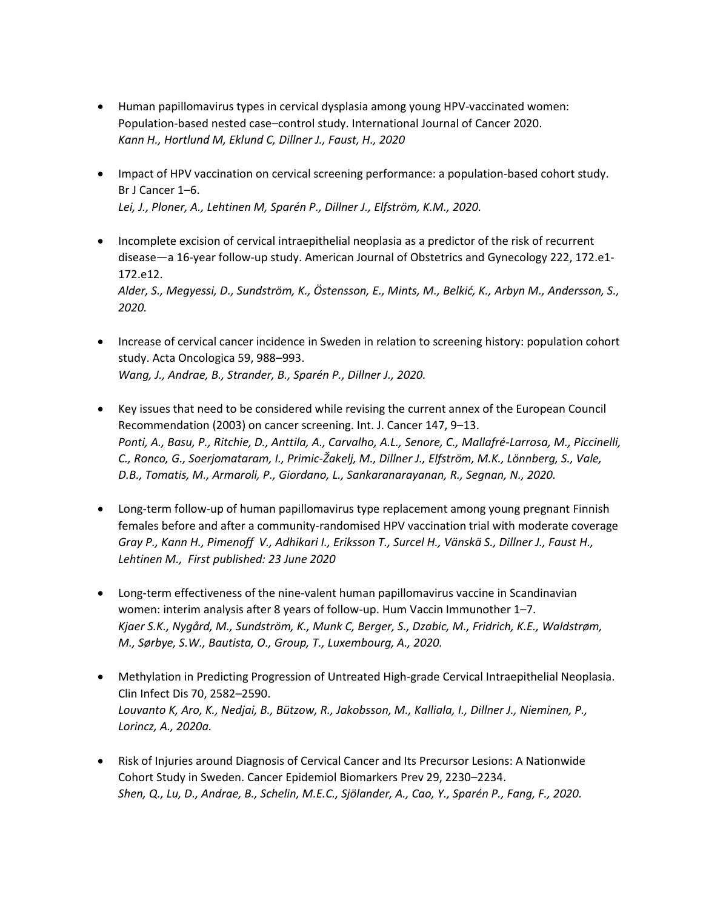- [Human papillomavirus types in cervical dysplasia among young HPV-vaccinated women:](https://doi.org/10.1002/ijc.32848)  Population-based nested case–[control study. International Journal of Cancer 2020.](https://doi.org/10.1002/ijc.32848) *Kann H., Hortlund M, Eklund C, Dillner J., Faust, H., 2020*
- [Impact of HPV vaccination on cervical screening performance: a population-based cohort study.](https://doi.org/10.1038/s41416-020-0850-6)  [Br J Cancer 1](https://doi.org/10.1038/s41416-020-0850-6)–6. *Lei, J., Ploner, A., Lehtinen M, Sparén P., Dillner J., Elfström, K.M., 2020.*
- [Incomplete excision of cervical intraepithelial neoplasia as a predictor of the risk of recurrent](https://doi.org/10.1016/j.ajog.2019.08.042)  disease—[a 16-year follow-up study. American Journal of Obstetrics and Gynecology 222, 172.e1-](https://doi.org/10.1016/j.ajog.2019.08.042) [172.e12.](https://doi.org/10.1016/j.ajog.2019.08.042) *Alder, S., Megyessi, D., Sundström, K., Östensson, E., Mints, M., Belkić, K., Arbyn M., Andersson, S., 2020.*
- [Increase of cervical cancer incidence in Sweden in relation to screening history: population cohort](https://doi.org/10.1080/0284186X.2020.1764095)  [study. Acta Oncologica 59, 988](https://doi.org/10.1080/0284186X.2020.1764095)–993. *Wang, J., Andrae, B., Strander, B., Sparén P., Dillner J., 2020.*
- [Key issues that need to be considered while revising the current annex of the European Council](https://doi.org/10.1002/ijc.32885)  [Recommendation \(2003\) on cancer screening. Int. J. Cancer 147, 9](https://doi.org/10.1002/ijc.32885)–13. *Ponti, A., Basu, P., Ritchie, D., Anttila, A., Carvalho, A.L., Senore, C., Mallafré-Larrosa, M., Piccinelli, C., Ronco, G., Soerjomataram, I., Primic-Žakelj, M., Dillner J., Elfström, M.K., Lönnberg, S., Vale, D.B., Tomatis, M., Armaroli, P., Giordano, L., Sankaranarayanan, R., Segnan, N., 2020.*
- Long-term follow-up of human papillomavirus type replacement among young pregnant Finnish [females before and after a community‐randomised HPV vaccination trial with moderate coverage](https://doi.org/10.1002/ijc.33169) *[Gray](https://onlinelibrary.wiley.com/action/doSearch?ContribAuthorStored=Gray%2C+Penelope) P.[, Kann](https://onlinelibrary.wiley.com/action/doSearch?ContribAuthorStored=Kann%2C+Hanna) H.[, Pimenoff](https://onlinelibrary.wiley.com/action/doSearch?ContribAuthorStored=Pimenoff%2C+Ville+N) V., [Adhikari](https://onlinelibrary.wiley.com/action/doSearch?ContribAuthorStored=Adhikari%2C+Indira) I., [Eriksson](https://onlinelibrary.wiley.com/action/doSearch?ContribAuthorStored=Eriksson%2C+Tiina) T.[, Surcel](https://onlinelibrary.wiley.com/action/doSearch?ContribAuthorStored=Surcel%2C+Helj%C3%A4-Marja) H., [Vänskä](https://onlinelibrary.wiley.com/action/doSearch?ContribAuthorStored=V%C3%A4nsk%C3%A4%2C+Simopekka) S., Dillner J., [Faust](https://onlinelibrary.wiley.com/action/doSearch?ContribAuthorStored=Faust%2C+Helena) H.[,](https://onlinelibrary.wiley.com/action/doSearch?ContribAuthorStored=Lehtinen%2C+Matti) [Lehtinen](https://onlinelibrary.wiley.com/action/doSearch?ContribAuthorStored=Lehtinen%2C+Matti) M., First published: 23 June 2020*
- [Long-term effectiveness of the nine-valent human papillomavirus vaccine in Scandinavian](https://doi.org/10.1080/21645515.2020.1839292)  [women: interim analysis after 8 years of follow-up. Hum Vaccin Immunother 1](https://doi.org/10.1080/21645515.2020.1839292)–7. *Kjaer S.K., Nygård, M., Sundström, K., Munk C, Berger, S., Dzabic, M., Fridrich, K.E., Waldstrøm, M., Sørbye, S.W., Bautista, O., Group, T., Luxembourg, A., 2020.*
- [Methylation in Predicting Progression of Untreated High-grade Cervical Intraepithelial Neoplasia.](https://doi.org/10.1093/cid/ciz677)  [Clin Infect Dis 70, 2582](https://doi.org/10.1093/cid/ciz677)–2590. *Louvanto K, Aro, K., Nedjai, B., Bützow, R., Jakobsson, M., Kalliala, I., Dillner J., Nieminen, P., Lorincz, A., 2020a.*
- [Risk of Injuries around Diagnosis of Cervical Cancer and Its Precursor Lesions: A Nationwide](https://doi.org/10.1158/1055-9965.EPI-20-0673)  [Cohort Study in Sweden. Cancer Epidemiol Biomarkers Prev 29, 2230](https://doi.org/10.1158/1055-9965.EPI-20-0673)–2234. *Shen, Q., Lu, D., Andrae, B., Schelin, M.E.C., Sjölander, A., Cao, Y., Sparén P., Fang, F., 2020.*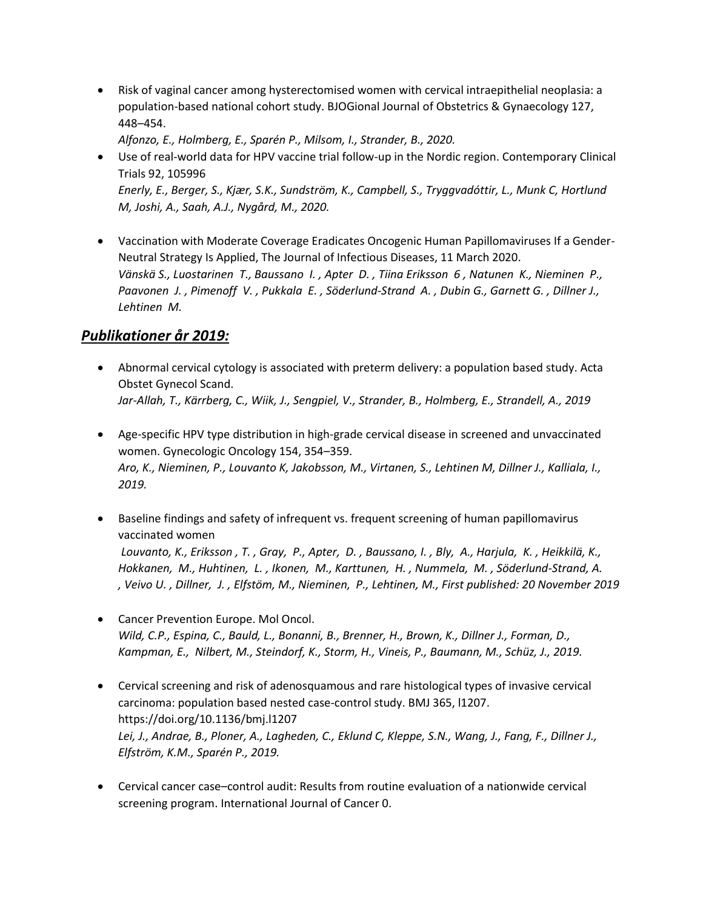[Risk of vaginal cancer among hysterectomised women with cervical intraepithelial neoplasia: a](https://doi.org/10.1111/1471-0528.16028)  [population-based national cohort study. BJOGional Journal](https://doi.org/10.1111/1471-0528.16028) of Obstetrics & Gynaecology 127, 448–[454.](https://doi.org/10.1111/1471-0528.16028)

*Alfonzo, E., Holmberg, E., Sparén P., Milsom, I., Strander, B., 2020.* 

- [Use of real-world data for HPV vaccine trial follow-up in the Nordic region. Contemporary Clinical](https://doi.org/10.1016/j.cct.2020.105996)  [Trials 92, 105996](https://doi.org/10.1016/j.cct.2020.105996) *Enerly, E., Berger, S., Kjær, S.K., Sundström, K., Campbell, S., Tryggvadóttir, L., Munk C, Hortlund M, Joshi, A., Saah, A.J., Nygård, M., 2020.*
- [Vaccination with Moderate Coverage Eradicates Oncogenic Human Papillomaviruses If a Gender-](https://doi.org/10.1093/infdis/jiaa099)[Neutral Strategy Is Applied,](https://doi.org/10.1093/infdis/jiaa099) The Journal of Infectious Diseases, 11 March 2020. *[Vänskä](https://pubmed.ncbi.nlm.nih.gov/?term=V%C3%A4nsk%C3%A4+S&cauthor_id=32161969) S., [Luostarinen](https://pubmed.ncbi.nlm.nih.gov/?term=Luostarinen+T&cauthor_id=32161969) T., [Baussano](https://pubmed.ncbi.nlm.nih.gov/?term=Baussano+I&cauthor_id=32161969) [I. ,](https://pubmed.ncbi.nlm.nih.gov/32161969/#affiliation-4) [Apter](https://pubmed.ncbi.nlm.nih.gov/?term=Apter+D&cauthor_id=32161969) [D. ,](https://pubmed.ncbi.nlm.nih.gov/32161969/#affiliation-5) [Tiina Eriksson](https://pubmed.ncbi.nlm.nih.gov/?term=Eriksson+T&cauthor_id=32161969) [6 ,](https://pubmed.ncbi.nlm.nih.gov/32161969/#affiliation-6) [Natunen](https://pubmed.ncbi.nlm.nih.gov/?term=Natunen+K&cauthor_id=32161969) [K.,](https://pubmed.ncbi.nlm.nih.gov/32161969/#affiliation-6) [Nieminen](https://pubmed.ncbi.nlm.nih.gov/?term=Nieminen+P&cauthor_id=32161969) [P.,](https://pubmed.ncbi.nlm.nih.gov/32161969/#affiliation-7) [Paavonen](https://pubmed.ncbi.nlm.nih.gov/?term=Paavonen+J&cauthor_id=32161969) [J.](https://pubmed.ncbi.nlm.nih.gov/32161969/#affiliation-7) , [Pimenoff](https://pubmed.ncbi.nlm.nih.gov/?term=Pimenoff+VN&cauthor_id=32161969) [V. ,](https://pubmed.ncbi.nlm.nih.gov/32161969/#affiliation-2) [Pukkala](https://pubmed.ncbi.nlm.nih.gov/?term=Pukkala+E&cauthor_id=32161969) [E. ,](https://pubmed.ncbi.nlm.nih.gov/32161969/#affiliation-6) [Söderlund-Strand](https://pubmed.ncbi.nlm.nih.gov/?term=S%C3%B6derlund-Strand+A&cauthor_id=32161969) [A. ,](https://pubmed.ncbi.nlm.nih.gov/32161969/#affiliation-9) [Dubin](https://pubmed.ncbi.nlm.nih.gov/?term=Dubin+G&cauthor_id=32161969) [G.,](https://pubmed.ncbi.nlm.nih.gov/32161969/#affiliation-10) [Garnett](https://pubmed.ncbi.nlm.nih.gov/?term=Garnett+G&cauthor_id=32161969) [G. ,](https://pubmed.ncbi.nlm.nih.gov/32161969/#affiliation-11) [Dillner](https://pubmed.ncbi.nlm.nih.gov/?term=Dillner+J&cauthor_id=32161969) [J.,](https://pubmed.ncbi.nlm.nih.gov/?term=Dillner+J&cauthor_id=32161969) [Lehtinen](https://pubmed.ncbi.nlm.nih.gov/?term=Lehtinen+M&cauthor_id=32161969) [M.](https://pubmed.ncbi.nlm.nih.gov/32161969/#affiliation-2)*

# *Publikationer år 2019:*

- [Abnormal cervical cytology is associated with preterm delivery: a population based study. Acta](https://doi.org/10.1111/aogs.13543)  [Obstet Gynecol Scand.](https://doi.org/10.1111/aogs.13543) *Jar-Allah, T., Kärrberg, C., Wiik, J., Sengpiel, V., Strander, B., Holmberg, E., Strandell, A., 2019*
- [Age-specific HPV type distribution in high-grade cervical disease in screened and unvaccinated](https://doi.org/10.1016/j.ygyno.2019.05.024)  [women. Gynecologic Oncology 154, 354](https://doi.org/10.1016/j.ygyno.2019.05.024)–359. *Aro, K., Nieminen, P., Louvanto K, Jakobsson, M., Virtanen, S., Lehtinen M, Dillner J., Kalliala, I., 2019.*
- [Baseline findings and safety of infrequent vs. frequent screening of human papillomavirus](https://doi.org/10.1002/ijc.32802)  [vaccinated women](https://doi.org/10.1002/ijc.32802)

*[Louvanto,](https://pubmed.ncbi.nlm.nih.gov/?term=Louvanto+K&cauthor_id=31749143) K., [Eriksson](https://pubmed.ncbi.nlm.nih.gov/?term=Eriksson+T&cauthor_id=31749143) , [T. ,](https://pubmed.ncbi.nlm.nih.gov/31749143/#affiliation-2) [Gray,](https://pubmed.ncbi.nlm.nih.gov/?term=Gray+P&cauthor_id=31749143) [P., Apter,](https://pubmed.ncbi.nlm.nih.gov/31749143/#affiliation-2) [D. ,](https://pubmed.ncbi.nlm.nih.gov/31749143/#affiliation-4) [Baussano,](https://pubmed.ncbi.nlm.nih.gov/?term=Baussano+I&cauthor_id=31749143) [I. ,](https://pubmed.ncbi.nlm.nih.gov/31749143/#affiliation-5) [Bly,](https://pubmed.ncbi.nlm.nih.gov/?term=Bly+A&cauthor_id=31749143) [A.,](https://pubmed.ncbi.nlm.nih.gov/31749143/#affiliation-2) [Harjula,](https://pubmed.ncbi.nlm.nih.gov/?term=Harjula+K&cauthor_id=31749143) [K. ,](https://pubmed.ncbi.nlm.nih.gov/31749143/#affiliation-2) [Heikkilä,](https://pubmed.ncbi.nlm.nih.gov/?term=Heikkil%C3%A4+K&cauthor_id=31749143) [K.,](https://pubmed.ncbi.nlm.nih.gov/31749143/#affiliation-1) [Hokkanen,](https://pubmed.ncbi.nlm.nih.gov/?term=Hokkanen+M&cauthor_id=31749143) [M., Huhtinen,](https://pubmed.ncbi.nlm.nih.gov/31749143/#affiliation-2) [L. ,](https://pubmed.ncbi.nlm.nih.gov/31749143/#affiliation-2) [Ikonen,](https://pubmed.ncbi.nlm.nih.gov/?term=Ikonen+M&cauthor_id=31749143) [M.,](https://pubmed.ncbi.nlm.nih.gov/31749143/#affiliation-2) [Karttunen,](https://pubmed.ncbi.nlm.nih.gov/31749143/#affiliation-2) [H. ,](https://pubmed.ncbi.nlm.nih.gov/31749143/#affiliation-2) [Nummela,](https://pubmed.ncbi.nlm.nih.gov/?term=Nummela+M&cauthor_id=31749143) [M. ,](https://pubmed.ncbi.nlm.nih.gov/31749143/#affiliation-2) [Söderlund-Strand,](https://pubmed.ncbi.nlm.nih.gov/?term=S%C3%B6derlund-Strand+A&cauthor_id=31749143) [A.](https://pubmed.ncbi.nlm.nih.gov/31749143/#affiliation-6)  , [Veivo](https://pubmed.ncbi.nlm.nih.gov/?term=Veivo+U&cauthor_id=31749143) [U. ,](https://pubmed.ncbi.nlm.nih.gov/31749143/#affiliation-2) [Dillner,](https://pubmed.ncbi.nlm.nih.gov/?term=Dillner+J&cauthor_id=31749143) [J. ,](https://pubmed.ncbi.nlm.nih.gov/31749143/#affiliation-3) [Elfstöm,](https://pubmed.ncbi.nlm.nih.gov/?term=Elfst%C3%B6m+M&cauthor_id=31749143) [M.,](https://pubmed.ncbi.nlm.nih.gov/31749143/#affiliation-3) [Nieminen,](https://pubmed.ncbi.nlm.nih.gov/?term=Nieminen+P&cauthor_id=31749143) [P.,](https://pubmed.ncbi.nlm.nih.gov/31749143/#affiliation-7) [Lehtinen,](https://pubmed.ncbi.nlm.nih.gov/?term=Lehtinen+M&cauthor_id=31749143) M., First published: 20 November 2019*

- [Cancer Prevention Europe. Mol Oncol.](https://doi.org/10.1002/1878-0261.12455) *Wild, C.P., Espina, C., Bauld, L., Bonanni, B., Brenner, H., Brown, K., Dillner J., Forman, D., Kampman, E., Nilbert, M., Steindorf, K., Storm, H., Vineis, P., Baumann, M., Schüz, J., 2019.*
- [Cervical screening and risk of adenosquamous and rare histological types of invasive cervical](https://doi.org/10.1136/bmj.l1207)  [carcinoma: population based nested case-control study. BMJ 365, l1207.](https://doi.org/10.1136/bmj.l1207) <https://doi.org/10.1136/bmj.l1207> *Lei, J., Andrae, B., Ploner, A., Lagheden, C., Eklund C, Kleppe, S.N., Wang, J., Fang, F., Dillner J., Elfström, K.M., Sparén P., 2019.*
- Cervical cancer case–[control audit: Results from routine evaluation of a nationwide cervical](https://doi.org/10.1002/ijc.32416)  [screening program. International Journal of Cancer 0.](https://doi.org/10.1002/ijc.32416)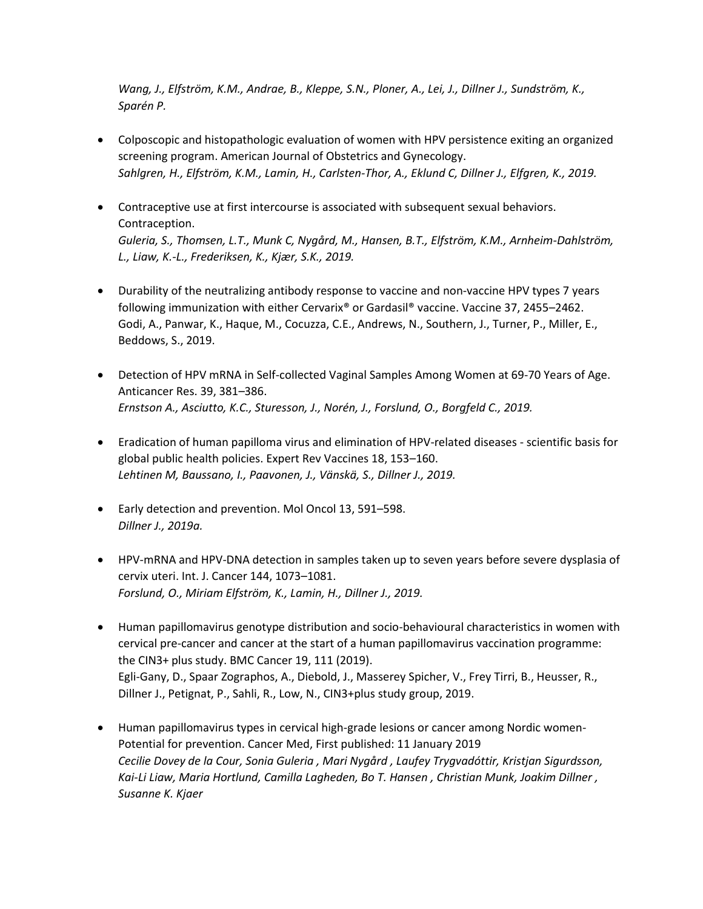*Wang, J., Elfström, K.M., Andrae, B., Kleppe, S.N., Ploner, A., Lei, J., Dillner J., Sundström, K., Sparén P.* 

- [Colposcopic and histopathologic evaluation of women with HPV persistence exiting an organized](https://doi.org/10.1016/j.ajog.2019.09.039)  [screening program. American Journal of Obstetrics and Gynecology.](https://doi.org/10.1016/j.ajog.2019.09.039)  *Sahlgren, H., Elfström, K.M., Lamin, H., Carlsten-Thor, A., Eklund C, Dillner J., Elfgren, K., 2019.*
- [Contraceptive use at first intercourse is associated with subsequent sexual behaviors.](https://doi.org/10.1016/j.contraception.2018.12.006)  [Contraception.](https://doi.org/10.1016/j.contraception.2018.12.006) *Guleria, S., Thomsen, L.T., Munk C, Nygård, M., Hansen, B.T., Elfström, K.M., Arnheim-Dahlström, L., Liaw, K.-L., Frederiksen, K., Kjær, S.K., 2019.*
- [Durability of the neutralizing antibody response to vaccine and non-vaccine HPV types 7 years](https://doi.org/10.1016/j.vaccine.2019.03.052)  [following immunization with either Cervarix® or Gardasil® vaccine. Vaccine 37, 2455](https://doi.org/10.1016/j.vaccine.2019.03.052)–2462. Godi, A., Panwar, K., Haque, M., Cocuzza, C.E., Andrews, N., Southern, J., Turner, P., Miller, E., Beddows, S., 2019.
- [Detection of HPV mRNA in Self-collected Vaginal Samples Among Women at 69-70 Years of Age.](https://doi.org/10.21873/anticanres.13123)  [Anticancer Res. 39, 381](https://doi.org/10.21873/anticanres.13123)–386. *Ernstson A., Asciutto, K.C., Sturesson, J., Norén, J., Forslund, O., Borgfeld C., 2019.*
- Eradication of human papilloma virus [and elimination of HPV-related diseases -](https://doi.org/10.1080/14760584.2019.1568876) scientific basis for [global public health policies. Expert Rev Vaccines 18, 153](https://doi.org/10.1080/14760584.2019.1568876)–160. *Lehtinen M, Baussano, I., Paavonen, J., Vänskä, S., Dillner J., 2019.*
- [Early detection and prevention. Mol Oncol 13, 591](https://febs.onlinelibrary.wiley.com/doi/full/10.1002/1878-0261.12459)–598. *Dillner J., 2019a.*
- [HPV-mRNA and HPV-DNA detection in samples taken up to seven years before severe dysplasia of](https://doi.org/10.1002/ijc.31819)  [cervix uteri. Int. J. Cancer 144, 1073](https://doi.org/10.1002/ijc.31819)–1081. *Forslund, O., Miriam Elfström, K., Lamin, H., Dillner J., 2019.*
- [Human papillomavirus genotype distribution and socio-behavioural characteristics in women with](https://doi.org/10.1186/s12885-018-5248-y)  [cervical pre-cancer and cancer at the start of a human papillomavirus vaccination programme:](https://doi.org/10.1186/s12885-018-5248-y)  [the CIN3+ plus study. BMC Cancer 19, 111](https://doi.org/10.1186/s12885-018-5248-y) (2019). Egli-Gany, D., Spaar Zographos, A., Diebold, J., Masserey Spicher, V., Frey Tirri, B., Heusser, R., Dillner J., Petignat, P., Sahli, R., Low, N., CIN3+plus study group, 2019.
- [Human papillomavirus types in cervical high-grade lesions or cancer among Nordic women-](https://doi.org/10.1002/cam4.1961)[Potential for prevention. Cancer Med, First published: 11 January 2019](https://doi.org/10.1002/cam4.1961) *[Cecilie Dovey de la Cour,](https://onlinelibrary.wiley.com/action/doSearch?ContribAuthorStored=Dovey+de+la+Cour%2C+Cecilie) [Sonia Guleria](https://onlinelibrary.wiley.com/action/doSearch?ContribAuthorStored=Guleria%2C+Sonia) , [Mari Nygård](https://onlinelibrary.wiley.com/action/doSearch?ContribAuthorStored=Nyg%C3%A5rd%2C+Mari) , [Laufey Trygvadóttir,](https://onlinelibrary.wiley.com/action/doSearch?ContribAuthorStored=Trygvad%C3%B3ttir%2C+Laufey) [Kristjan Sigurdsson,](https://onlinelibrary.wiley.com/action/doSearch?ContribAuthorStored=Sigurdsson%2C+Kristjan) [Kai‐Li Liaw](https://onlinelibrary.wiley.com/action/doSearch?ContribAuthorStored=Liaw%2C+Kai-Li), [Maria Hortlund,](https://onlinelibrary.wiley.com/action/doSearch?ContribAuthorStored=Hortlund%2C+Maria) [Camilla Lagheden,](https://onlinelibrary.wiley.com/action/doSearch?ContribAuthorStored=Lagheden%2C+Camilla) [Bo T. Hansen](https://onlinelibrary.wiley.com/action/doSearch?ContribAuthorStored=Hansen%2C+Bo+T) , [Christian Munk,](https://onlinelibrary.wiley.com/action/doSearch?ContribAuthorStored=Munk%2C+Christian) [Joakim Dillner](https://onlinelibrary.wiley.com/action/doSearch?ContribAuthorStored=Dillner%2C+Joakim) , [Susanne K. Kjaer](https://onlinelibrary.wiley.com/action/doSearch?ContribAuthorStored=Kjaer%2C+Susanne+K)*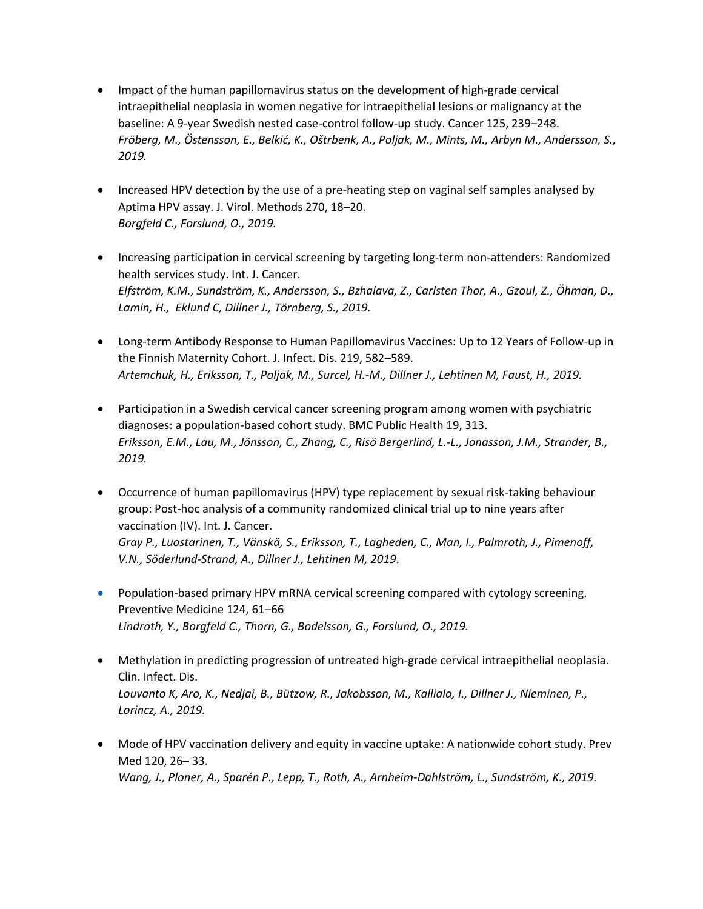- [Impact of the human papillomavirus status on the development of high-grade cervical](https://doi.org/10.1002/cncr.31788)  [intraepithelial neoplasia in women negative for intraepithelial lesions or malignancy at the](https://doi.org/10.1002/cncr.31788)  [baseline: A 9-year Swedish nested case-control follow-up study. Cancer 125, 239](https://doi.org/10.1002/cncr.31788)–248. *Fröberg, M., Östensson, E., Belkić, K., Oštrbenk, A., Poljak, M., Mints, M., Arbyn M., Andersson, S., 2019.*
- [Increased HPV detection by the use of a pre-heating step on vaginal self samples](https://doi.org/10.1016/j.jviromet.2019.04.015) analysed by [Aptima HPV assay. J. Virol. Methods 270, 18](https://doi.org/10.1016/j.jviromet.2019.04.015)–20. *Borgfeld C., Forslund, O., 2019.*
- [Increasing participation in cervical screening by targeting long-term non-attenders: Randomized](https://doi.org/10.1002/ijc.32374)  [health services study. Int. J. Cancer.](https://doi.org/10.1002/ijc.32374) *Elfström, K.M., Sundström, K., Andersson, S., Bzhalava, Z., Carlsten Thor, A., Gzoul, Z., Öhman, D., Lamin, H., Eklund C, Dillner J., Törnberg, S., 2019.*
- [Long-term Antibody Response to Human Papillomavirus Vaccines: Up to 12 Years of Follow-up in](https://doi.org/10.1093/infdis/jiy545)  [the Finnish Maternity Cohort. J. Infect. Dis. 219, 582](https://doi.org/10.1093/infdis/jiy545)–589. *Artemchuk, H., Eriksson, T., Poljak, M., Surcel, H.-M., Dillner J., Lehtinen M, Faust, H., 2019.*
- [Participation in a Swedish cervical cancer screening program among women with psychiatric](https://doi.org/10.1186/s12889-019-6626-3)  [diagnoses: a population-based cohort study. BMC Public Health 19, 313.](https://doi.org/10.1186/s12889-019-6626-3) *Eriksson, E.M., Lau, M., Jönsson, C., Zhang, C., Risö Bergerlind, L.-L., Jonasson, J.M., Strander, B., 2019.*
- [Occurrence of human papillomavirus \(HPV\) type replacement by sexual risk-taking behaviour](https://doi.org/10.1002/ijc.32189)  [group: Post-hoc analysis of a community randomized clinical trial up to nine years after](https://doi.org/10.1002/ijc.32189)  [vaccination \(IV\). Int. J. Cancer.](https://doi.org/10.1002/ijc.32189) *Gray P., Luostarinen, T., Vänskä, S., Eriksson, T., Lagheden, C., Man, I., Palmroth, J., Pimenoff, V.N., Söderlund-Strand, A., Dillner J., Lehtinen M, 2019*.
- Population-based primary HPV mRNA cervical screening compared with cytology screening. Preventive Medicine 124, 61–66 *Lindroth, Y., Borgfeld C., Thorn, G., Bodelsson, G., Forslund, O., 2019.*
- [Methylation in predicting progression of untreated high-grade cervical intraepithelial neoplasia.](https://doi.org/10.1093/cid/ciz677)  [Clin. Infect. Dis.](https://doi.org/10.1093/cid/ciz677)  *Louvanto K, Aro, K., Nedjai, B., Bützow, R., Jakobsson, M., Kalliala, I., Dillner J., Nieminen, P., Lorincz, A., 2019.*
- [Mode of HPV vaccination delivery and equity in vaccine uptake: A nationwide cohort study. Prev](https://doi.org/10.1016/j.ypmed.2018.12.014)  [Med 120, 26](https://doi.org/10.1016/j.ypmed.2018.12.014)– 33. *Wang, J., Ploner, A., Sparén P., Lepp, T., Roth, A., Arnheim-Dahlström, L., Sundström, K., 2019.*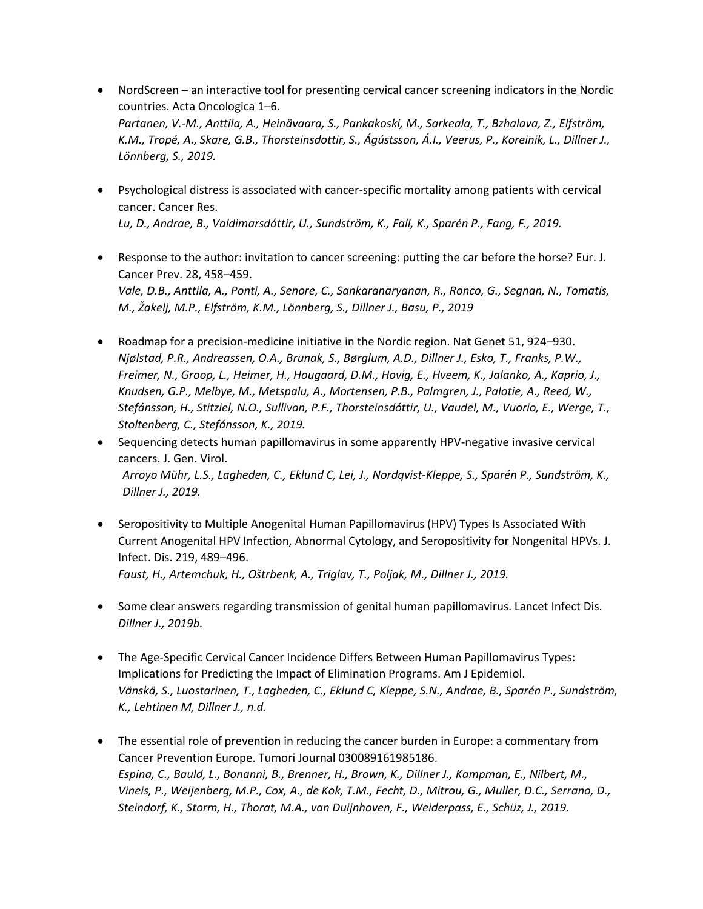- NordScreen [an interactive tool for presenting cervical cancer screening indicators in the Nordic](https://doi.org/10.1080/0284186X.2019.1615637)  [countries. Acta Oncologica 1](https://doi.org/10.1080/0284186X.2019.1615637)–6. *Partanen, V.-M., Anttila, A., Heinävaara, S., Pankakoski, M., Sarkeala, T., Bzhalava, Z., Elfström, K.M., Tropé, A., Skare, G.B., Thorsteinsdottir, S., Ágústsson, Á.I., Veerus, P., Koreinik, L., Dillner J., Lönnberg, S., 2019.*
- [Psychological distress is associated with cancer-specific mortality among patients with cervical](https://doi.org/10.1158/0008-5472.CAN-19-0116)  [cancer. Cancer Res.](https://doi.org/10.1158/0008-5472.CAN-19-0116) *Lu, D., Andrae, B., Valdimarsdóttir, U., Sundström, K., Fall, K., Sparén P., Fang, F., 2019.*
- [Response to the author: invitation to cancer screening: putting the car before the horse? Eur. J.](https://doi.org/10.1097/CEJ.0000000000000474)  [Cancer Prev. 28, 458](https://doi.org/10.1097/CEJ.0000000000000474)–459. *Vale, D.B., Anttila, A., Ponti, A., Senore, C., Sankaranaryanan, R., Ronco, G., Segnan, N., Tomatis, M., Žakelj, M.P., Elfström, K.M., Lönnberg, S., Dillner J., Basu, P., 2019*
- [Roadmap for a precision-medicine initiative in the Nordic region. Nat Genet 51, 924](https://doi.org/10.1038/s41588-019-0391-1)–930. *Njølstad, P.R., Andreassen, O.A., Brunak, S., Børglum, A.D., Dillner J., Esko, T., Franks, P.W., Freimer, N., Groop, L., Heimer, H., Hougaard, D.M., Hovig, E., Hveem, K., Jalanko, A., Kaprio, J., Knudsen, G.P., Melbye, M., Metspalu, A., Mortensen, P.B., Palmgren, J., Palotie, A., Reed, W., Stefánsson, H., Stitziel, N.O., Sullivan, P.F., Thorsteinsdóttir, U., Vaudel, M., Vuorio, E., Werge, T., Stoltenberg, C., Stefánsson, K., 2019.*
- [Sequencing detects human papillomavirus in some apparently HPV-negative invasive cervical](https://doi.org/10.1099/jgv.0.001374)  [cancers. J. Gen. Virol.](https://doi.org/10.1099/jgv.0.001374) *Arroyo Mühr, L.S., Lagheden, C., Eklund C, Lei, J., Nordqvist-Kleppe, S., Sparén P., Sundström, K., Dillner J., 2019.*
- [Seropositivity to Multiple Anogenital Human Papillomavirus \(HPV\) Types Is Associated With](https://doi.org/10.1093/infdis/jiy523)  [Current Anogenital HPV Infection, Abnormal Cytology, and Seropositivity for Nongenital HPVs. J.](https://doi.org/10.1093/infdis/jiy523)  [Infect. Dis. 219, 489](https://doi.org/10.1093/infdis/jiy523)–496. *Faust, H., Artemchuk, H., Oštrbenk, A., Triglav, T., Poljak, M., Dillner J., 2019.*
- [Some clear answers regarding transmission of genital human papillomavirus. Lancet Infect Dis.](https://doi.org/10.1016/S1473-3099(19)30048-9) *Dillner J., 2019b.*
- [The Age-Specific Cervical Cancer Incidence Differs Between Human Papillomavirus Types:](https://doi.org/10.1093/aje/kwaa121)  [Implications for Predicting the Impact of Elimination Programs. Am J Epidemiol.](https://doi.org/10.1093/aje/kwaa121) *Vänskä, S., Luostarinen, T., Lagheden, C., Eklund C, Kleppe, S.N., Andrae, B., Sparén P., Sundström, K., Lehtinen M, Dillner J., n.d.*
- [The essential role of prevention in reducing the cancer burden in Europe: a commentary from](https://doi.org/10.1177/0300891619851865)  [Cancer Prevention Europe. Tumori Journal 030089161985186.](https://doi.org/10.1177/0300891619851865) *Espina, C., Bauld, L., Bonanni, B., Brenner, H., Brown, K., Dillner J., Kampman, E., Nilbert, M., Vineis, P., Weijenberg, M.P., Cox, A., de Kok, T.M., Fecht, D., Mitrou, G., Muller, D.C., Serrano, D., Steindorf, K., Storm, H., Thorat, M.A., van Duijnhoven, F., Weiderpass, E., Schüz, J., 2019.*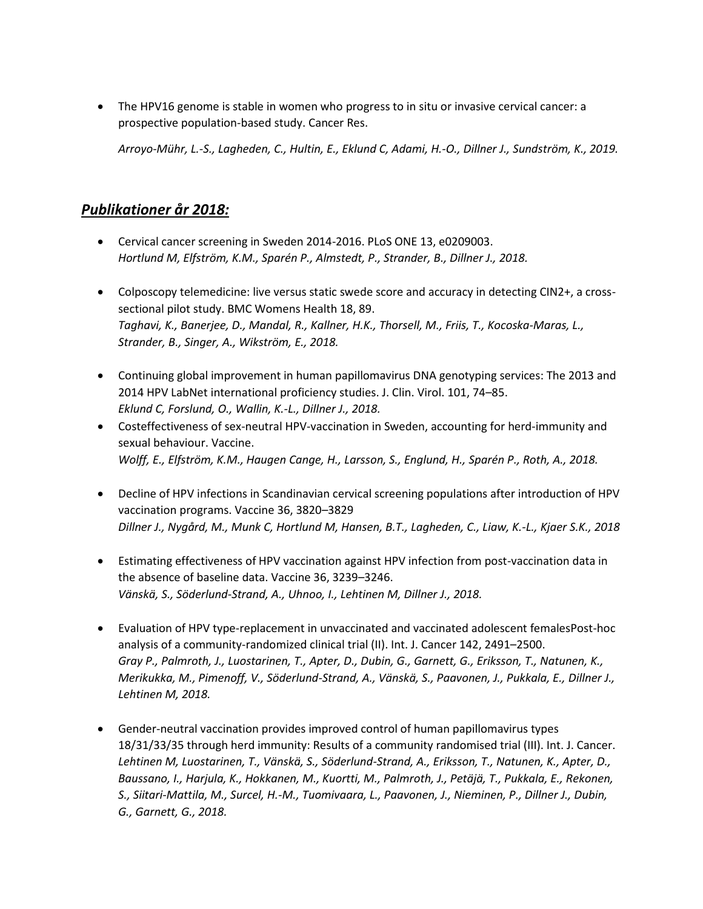[The HPV16 genome is stable in women who progress to in situ or invasive cervical cancer: a](https://doi.org/10.1158/0008-5472.CAN-18-3933)  [prospective population-based study. Cancer Res.](https://doi.org/10.1158/0008-5472.CAN-18-3933)

*Arroyo-Mühr, L.-S., Lagheden, C., Hultin, E., Eklund C, Adami, H.-O., Dillner J., Sundström, K., 2019.* 

#### *Publikationer år 2018:*

- [Cervical cancer screening in Sweden 2014-2016. PLoS ONE 13, e0209003.](https://doi.org/10.1371/journal.pone.0209003) *Hortlund M, Elfström, K.M., Sparén P., Almstedt, P., Strander, B., Dillner J., 2018.*
- [Colposcopy telemedicine: live versus static swede score and accuracy in detecting CIN2+, a cross](https://doi.org/10.1186/s12905-018-0569-1)[sectional pilot study. BMC Womens Health 18, 89.](https://doi.org/10.1186/s12905-018-0569-1) *Taghavi, K., Banerjee, D., Mandal, R., Kallner, H.K., Thorsell, M., Friis, T., Kocoska-Maras, L., Strander, B., Singer, A., Wikström, E., 2018.*
- [Continuing global improvement in human papillomavirus DNA genotyping services: The 2013 and](https://doi.org/10.1016/j.jcv.2018.01.016)  [2014 HPV LabNet international proficiency studies. J. Clin. Virol. 101, 74](https://doi.org/10.1016/j.jcv.2018.01.016)–85. *Eklund C, Forslund, O., Wallin, K.-L., Dillner J., 2018.*
- [Costeffectiveness of sex-neutral HPV-vaccination in Sweden, accounting for herd-immunity and](https://doi.org/10.1016/j.vaccine.2018.07.018)  [sexual behaviour. Vaccine.](https://doi.org/10.1016/j.vaccine.2018.07.018) *Wolff, E., Elfström, K.M., Haugen Cange, H., Larsson, S., Englund, H., Sparén P., Roth, A., 2018.*
- Decline of HPV infections in Scandinavian cervical screening populations after introduction of HPV vaccination programs. Vaccine 36, 3820–3829 *Dillner J., Nygård, M., Munk C, Hortlund M, Hansen, B.T., Lagheden, C., Liaw, K.-L., Kjaer S.K., 2018*
- [Estimating effectiveness of HPV vaccination against HPV infection from post-vaccination data in](https://doi.org/10.1016/j.vaccine.2018.04.073)  [the absence of baseline data. Vaccine 36, 3239](https://doi.org/10.1016/j.vaccine.2018.04.073)–3246. *Vänskä, S., Söderlund-Strand, A., Uhnoo, I., Lehtinen M, Dillner J., 2018.*
- [Evaluation of HPV type-replacement in unvaccinated and vaccinated adolescent femalesPost-hoc](https://doi.org/10.1002/ijc.31281)  [analysis of a community-randomized clinical trial \(II\). Int. J. Cancer 142, 2491](https://doi.org/10.1002/ijc.31281)–2500. *Gray P., Palmroth, J., Luostarinen, T., Apter, D., Dubin, G., Garnett, G., Eriksson, T., Natunen, K., Merikukka, M., Pimenoff, V., Söderlund-Strand, A., Vänskä, S., Paavonen, J., Pukkala, E., Dillner J., Lehtinen M, 2018.*
- Gender-neutral vaccination provides improved control of human papillomavirus types 18/31/33/35 through herd immunity: Results of a community randomised trial (III). Int. J. Cancer. *Lehtinen M, Luostarinen, T., Vänskä, S., Söderlund-Strand, A., Eriksson, T., Natunen, K., Apter, D., Baussano, I., Harjula, K., Hokkanen, M., Kuortti, M., Palmroth, J., Petäjä, T., Pukkala, E., Rekonen, S., Siitari-Mattila, M., Surcel, H.-M., Tuomivaara, L., Paavonen, J., Nieminen, P., Dillner J., Dubin, G., Garnett, G., 2018.*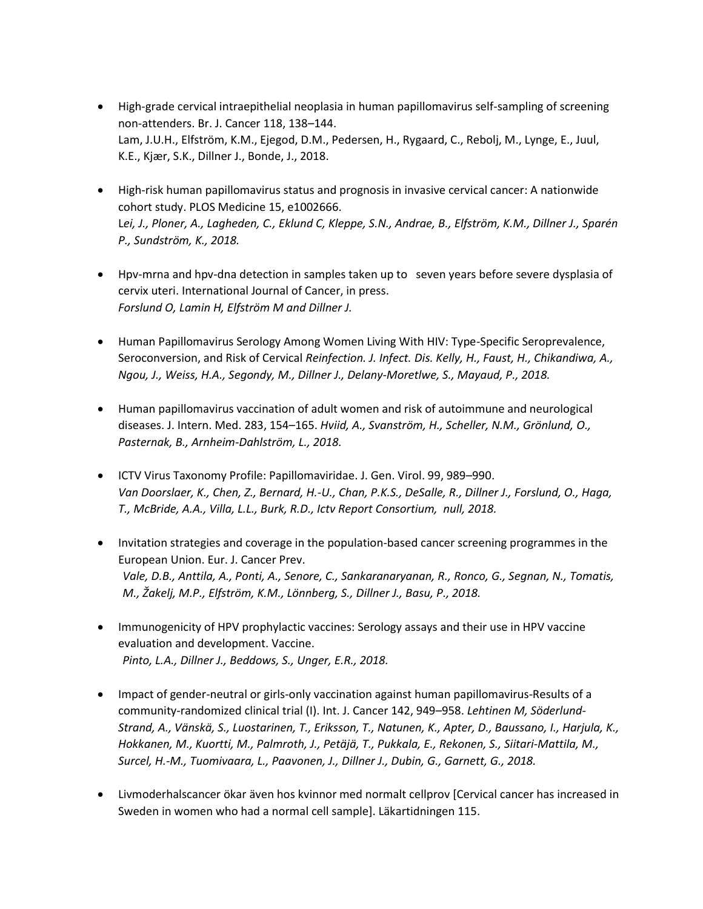- [High-grade cervical intraepithelial neoplasia in human papillomavirus self-sampling of screening](https://doi.org/10.1038/bjc.2017.371)  [non-attenders. Br. J. Cancer 118, 138](https://doi.org/10.1038/bjc.2017.371)–144. Lam, J.U.H., Elfström, K.M., Ejegod, D.M., Pedersen, H., Rygaard, C., Rebolj, M., Lynge, E., Juul, K.E., Kjær, S.K., Dillner J., Bonde, J., 2018.
- [High-risk human papillomavirus status and prognosis in invasive cervical cancer: A nationwide](https://doi.org/10.1371/journal.pmed.1002666)  [cohort study. PLOS Medicine 15, e1002666.](https://doi.org/10.1371/journal.pmed.1002666) L*ei, J., Ploner, A., Lagheden, C., Eklund C, Kleppe, S.N., Andrae, B., Elfström, K.M., Dillner J., Sparén P., Sundström, K., 2018.*
- Hpv-mrna and hpv-dna detection in samples taken up to seven years before severe dysplasia of cervix uteri. International Journal of Cancer, in press. *Forslund O, Lamin H, Elfström M and Dillner J.*
- [Human Papillomavirus Serology Among Women Living With HIV: Type-Specific Seroprevalence,](https://doi.org/10.1093/infdis/jiy252)  [Seroconversion, and Risk of Cervical](https://doi.org/10.1093/infdis/jiy252) *Reinfection. J. Infect. Dis. Kelly, H., Faust, H., Chikandiwa, A., Ngou, J., Weiss, H.A., Segondy, M., Dillner J., Delany-Moretlwe, S., Mayaud, P., 2018.*
- [Human papillomavirus vaccination of adult women and risk of autoimmune and neurological](https://doi.org/10.1111/joim.12694)  [diseases. J. Intern. Med. 283, 154](https://doi.org/10.1111/joim.12694)–165. *Hviid, A., Svanström, H., Scheller, N.M., Grönlund, O., Pasternak, B., Arnheim-Dahlström, L., 2018.*
- [ICTV Virus Taxonomy Profile: Papillomaviridae. J. Gen. Virol. 99, 989](https://doi.org/10.1099/jgv.0.001105)–990. *Van Doorslaer, K., Chen, Z., Bernard, H.-U., Chan, P.K.S., DeSalle, R., Dillner J., Forslund, O., Haga, T., McBride, A.A., Villa, L.L., Burk, R.D., Ictv Report Consortium, null, 2018.*
- [Invitation strategies and coverage in the population-based cancer screening programmes in the](https://doi.org/10.1097/CEJ.0000000000000426)  [European Union. Eur. J. Cancer Prev.](https://doi.org/10.1097/CEJ.0000000000000426) *Vale, D.B., Anttila, A., Ponti, A., Senore, C., Sankaranaryanan, R., Ronco, G., Segnan, N., Tomatis, M., Žakelj, M.P., Elfström, K.M., Lönnberg, S., Dillner J., Basu, P., 2018.*
- [Immunogenicity of HPV prophylactic vaccines: Serology assays and their use in HPV vaccine](https://doi.org/10.1016/j.vaccine.2017.11.089)  [evaluation and development. Vaccine.](https://doi.org/10.1016/j.vaccine.2017.11.089) *Pinto, L.A., Dillner J., Beddows, S., Unger, E.R., 2018.*
- [Impact of gender-neutral or girls-only vaccination against human papillomavirus-Results of a](https://doi.org/10.1002/ijc.31119)  [community-randomized clinical trial \(I\). Int. J. Cancer 142, 949](https://doi.org/10.1002/ijc.31119)–958. *Lehtinen M, Söderlund-Strand, A., Vänskä, S., Luostarinen, T., Eriksson, T., Natunen, K., Apter, D., Baussano, I., Harjula, K., Hokkanen, M., Kuortti, M., Palmroth, J., Petäjä, T., Pukkala, E., Rekonen, S., Siitari-Mattila, M., Surcel, H.-M., Tuomivaara, L., Paavonen, J., Dillner J., Dubin, G., Garnett, G., 2018.*
- Livmoderhalscancer ökar även hos kvinnor med normalt cellprov [Cervical cancer has increased in Sweden in women who had a normal cell sample]. Läkartidningen 115.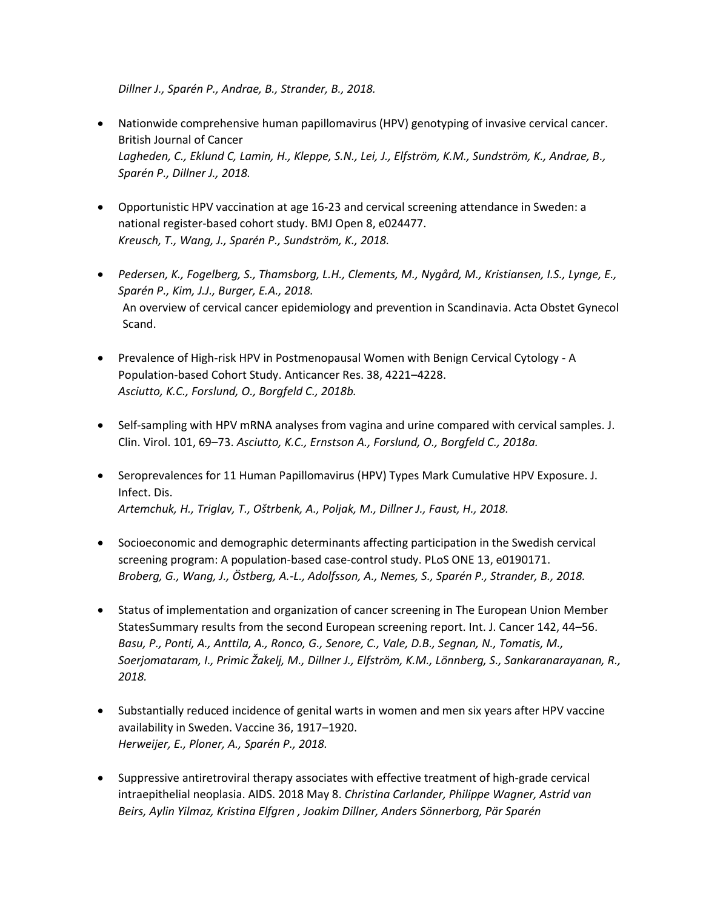*Dillner J., Sparén P., Andrae, B., Strander, B., 2018.* 

- [Nationwide comprehensive human papillomavirus \(HPV\) genotyping of invasive cervical cancer.](https://pubmed.ncbi.nlm.nih.gov/29559733/)  [British Journal of Cancer](https://pubmed.ncbi.nlm.nih.gov/29559733/) *Lagheden, C., Eklund C, Lamin, H., Kleppe, S.N., Lei, J., Elfström, K.M., Sundström, K., Andrae, B., Sparén P., Dillner J., 2018.*
- [Opportunistic HPV vaccination at age 16-23 and cervical screening attendance in Sweden: a](https://doi.org/10.1136/bmjopen-2018-024477)  [national register-based cohort study. BMJ Open 8, e024477.](https://doi.org/10.1136/bmjopen-2018-024477) *Kreusch, T., Wang, J., Sparén P., Sundström, K., 2018.*
- *Pedersen, K., Fogelberg, S., Thamsborg, L.H., Clements, M., Nygård, M., Kristiansen, I.S., Lynge, E., Sparén P., Kim, J.J., Burger, E.A., 2018.* [An overview of cervical cancer epidemiology and prevention in Scandinavia. Acta Obstet Gynecol](https://doi.org/10.1111/aogs.13313)  [Scand.](https://doi.org/10.1111/aogs.13313)
- [Prevalence of High-risk HPV in Postmenopausal Women with Benign Cervical Cytology -](https://doi.org/10.21873/anticanres.12718) A [Population-based Cohort Study. Anticancer Res. 38, 4221](https://doi.org/10.21873/anticanres.12718)–4228. *Asciutto, K.C., Forslund, O., Borgfeld C., 2018b.*
- [Self-sampling with HPV mRNA analyses from vagina and urine compared with cervical samples. J.](https://doi.org/10.1016/j.jcv.2018.02.002)  [Clin. Virol. 101, 69](https://doi.org/10.1016/j.jcv.2018.02.002)–73. *Asciutto, K.C., Ernstson A., Forslund, O., Borgfeld C., 2018a.*
- Seroprevalences for 11 Human Papillomavirus (HPV) Types Mark Cumulative HPV Exposure. J. [Infect. Dis.](https://doi.org/10.1093/infdis/jiy107) *Artemchuk, H., Triglav, T., Oštrbenk, A., Poljak, M., Dillner J., Faust, H., 2018.*
- [Socioeconomic and demographic determinants affecting participation in the Swedish cervical](https://doi.org/10.1371/journal.pone.0190171)  [screening program: A population-based case-control study. PLoS ONE 13, e0190171.](https://doi.org/10.1371/journal.pone.0190171) *Broberg, G., Wang, J., Östberg, A.-L., Adolfsson, A., Nemes, S., Sparén P., Strander, B., 2018.*
- [Status of implementation and organization of cancer screening in The European Union Member](https://doi.org/10.1002/ijc.31043)  [StatesSummary results from the second European screening report. Int. J. Cancer 142, 44](https://doi.org/10.1002/ijc.31043)–56. *Basu, P., Ponti, A., Anttila, A., Ronco, G., Senore, C., Vale, D.B., Segnan, N., Tomatis, M., Soerjomataram, I., Primic Žakelj, M., Dillner J., Elfström, K.M., Lönnberg, S., Sankaranarayanan, R., 2018.*
- [Substantially reduced incidence of genital warts in women and men six years after HPV vaccine](https://doi.org/10.1016/j.vaccine.2018.02.097)  [availability in Sweden. Vaccine 36, 1917](https://doi.org/10.1016/j.vaccine.2018.02.097)–1920. *Herweijer, E., Ploner, A., Sparén P., 2018.*
- [Suppressive antiretroviral therapy associates with effective treatment of high-grade cervical](https://pubmed.ncbi.nlm.nih.gov/29746299/)  [intraepithelial neoplasia. AIDS. 2018 May 8.](https://pubmed.ncbi.nlm.nih.gov/29746299/) *[Christina Carlander,](https://pubmed.ncbi.nlm.nih.gov/?term=Carlander+C&cauthor_id=29746299) [Philippe Wagner,](https://pubmed.ncbi.nlm.nih.gov/?term=Wagner+P&cauthor_id=29746299) [Astrid van](https://pubmed.ncbi.nlm.nih.gov/?term=van+Beirs+A&cauthor_id=29746299)  [Beirs,](https://pubmed.ncbi.nlm.nih.gov/?term=van+Beirs+A&cauthor_id=29746299) [Aylin Yilmaz,](https://pubmed.ncbi.nlm.nih.gov/?term=Yilmaz+A&cauthor_id=29746299) [Kristina Elfgren](https://pubmed.ncbi.nlm.nih.gov/?term=Elfgren+K&cauthor_id=29746299) , [Joakim Dillner,](https://pubmed.ncbi.nlm.nih.gov/?term=Dillner+J&cauthor_id=29746299) [Anders Sönnerborg,](https://pubmed.ncbi.nlm.nih.gov/?term=S%C3%B6nnerborg+A&cauthor_id=29746299) [Pär Sparén](https://pubmed.ncbi.nlm.nih.gov/?term=Spar%C3%A9n+P&cauthor_id=29746299)*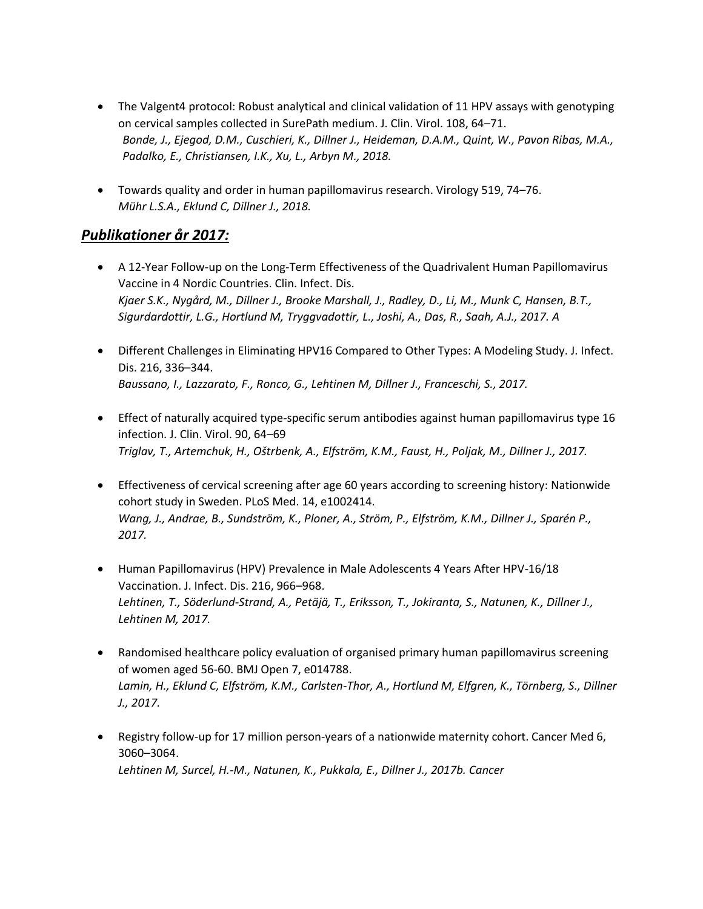- [The Valgent4 protocol: Robust analytical and clinical validation of 11 HPV assays with genotyping](https://doi.org/10.1016/j.jcv.2018.09.012)  [on cervical samples collected in SurePath medium. J. Clin. Virol. 108, 64](https://doi.org/10.1016/j.jcv.2018.09.012)–71. *Bonde, J., Ejegod, D.M., Cuschieri, K., Dillner J., Heideman, D.A.M., Quint, W., Pavon Ribas, M.A., Padalko, E., Christiansen, I.K., Xu, L., Arbyn M., 2018.*
- [Towards quality and order in human papillomavirus research. Virology 519, 74](https://doi.org/10.1016/j.virol.2018.04.003)–76. *Mühr L.S.A., Eklund C, Dillner J., 2018.*

## *Publikationer år 2017:*

- [A 12-Year Follow-up on the Long-Term Effectiveness of the Quadrivalent Human](https://doi.org/10.1038/s41416-018-0053-6) [Papillomavirus](https://doi.org/10.1093/cid/cix797)  [Vaccine in 4 Nordic Countries. Clin. Infect. Dis.](https://doi.org/10.1093/cid/cix797) *Kjaer S.K., Nygård, M., Dillner J., Brooke Marshall, J., Radley, D., Li, M., Munk C, Hansen, B.T., Sigurdardottir, L.G., Hortlund M, Tryggvadottir, L., Joshi, A., Das, R., Saah, A.J., 2017. A*
- [Different Challenges in Eliminating HPV16 Compared to Other Types: A Modeling Study. J. Infect.](https://doi.org/10.1093/infdis/jix299)  [Dis. 216, 336](https://doi.org/10.1093/infdis/jix299)–344. *Baussano, I., Lazzarato, F., Ronco, G., Lehtinen M, Dillner J., Franceschi, S., 2017.*
- [Effect of naturally acquired type-specific serum antibodies against human papillomavirus type 16](file://///meb.ki.se/main/common/projects/GynCell/Gyncell_Docs/Web/.%20https:/doi.org/10.1016/j.jcv.2017.03.002)  [infection. J. Clin. Virol. 90, 64](file://///meb.ki.se/main/common/projects/GynCell/Gyncell_Docs/Web/.%20https:/doi.org/10.1016/j.jcv.2017.03.002)–69 *Triglav, T., Artemchuk, H., Oštrbenk, A., Elfström, K.M., Faust, H., Poljak, M., Dillner J., 2017.*
- [Effectiveness of cervical screening after age 60 years according to screening history: Nationwide](https://doi.org/10.1371/journal.pmed.1002414)  [cohort study in Sweden. PLoS Med. 14, e1002414.](https://doi.org/10.1371/journal.pmed.1002414) *Wang, J., Andrae, B., Sundström, K., Ploner, A., Ström, P., Elfström, K.M., Dillner J., Sparén P., 2017.*
- [Human Papillomavirus \(HPV\) Prevalence in Male Adolescents 4 Years After HPV-16/18](https://doi.org/10.1093/infdis/jix415)  [Vaccination. J. Infect. Dis. 216, 966](https://doi.org/10.1093/infdis/jix415)–968. *Lehtinen, T., Söderlund-Strand, A., Petäjä, T., Eriksson, T., Jokiranta, S., Natunen, K., Dillner J., Lehtinen M, 2017.*
- [Randomised healthcare policy evaluation of organised primary human papillomavirus screening](https://pubmed.ncbi.nlm.nih.gov/28566363/)  [of women aged 56-60. BMJ Open 7, e014788.](https://pubmed.ncbi.nlm.nih.gov/28566363/) *Lamin, H., Eklund C, Elfström, K.M., Carlsten-Thor, A., Hortlund M, Elfgren, K., Törnberg, S., Dillner J., 2017.*
- [Registry follow-up for 17 million person-years of a nationwide maternity cohort. Cancer Med 6,](https://doi.org/10.1002/cam4.1222)  3060–[3064.](https://doi.org/10.1002/cam4.1222) *Lehtinen M, Surcel, H.-M., Natunen, K., Pukkala, E., Dillner J., 2017b. Cancer*